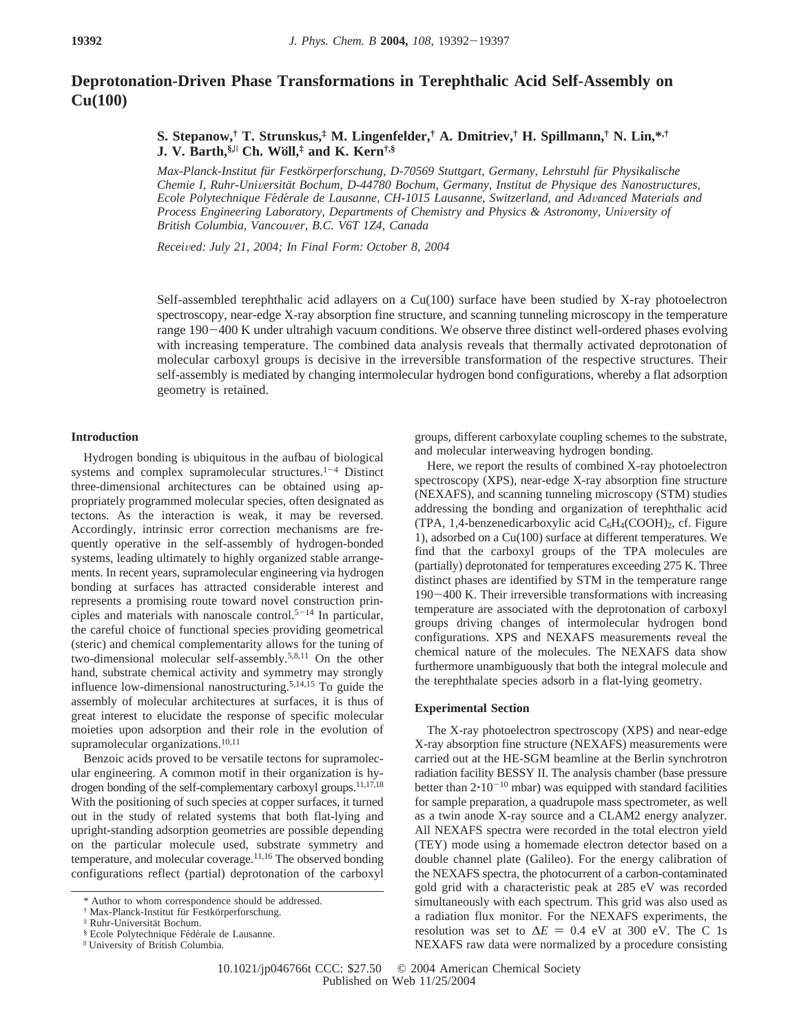# **Deprotonation-Driven Phase Transformations in Terephthalic Acid Self-Assembly on Cu(100)**

**S. Stepanow,† T. Strunskus,‡ M. Lingenfelder,† A. Dmitriev,† H. Spillmann,† N. Lin,\*,† J. V. Barth,§,**<sup>|</sup> **Ch. Wo**1**ll,‡ and K. Kern†,§**

*Max-Planck-Institut fu¨r Festko¨rperforschung, D-70569 Stuttgart, Germany, Lehrstuhl fu¨r Physikalische Chemie I, Ruhr-Uni*V*ersita¨t Bochum, D-44780 Bochum, Germany, Institut de Physique des Nanostructures, Ecole Polytechnique Fe*´*de*´*rale de Lausanne, CH-1015 Lausanne, Switzerland, and Ad*V*anced Materials and Process Engineering Laboratory, Departments of Chemistry and Physics & Astronomy, University of British Columbia, Vancou*V*er, B.C. V6T 1Z4, Canada*

*Recei*V*ed: July 21, 2004; In Final Form: October 8, 2004*

Self-assembled terephthalic acid adlayers on a Cu(100) surface have been studied by X-ray photoelectron spectroscopy, near-edge X-ray absorption fine structure, and scanning tunneling microscopy in the temperature range 190-400 K under ultrahigh vacuum conditions. We observe three distinct well-ordered phases evolving with increasing temperature. The combined data analysis reveals that thermally activated deprotonation of molecular carboxyl groups is decisive in the irreversible transformation of the respective structures. Their self-assembly is mediated by changing intermolecular hydrogen bond configurations, whereby a flat adsorption geometry is retained.

# **Introduction**

Hydrogen bonding is ubiquitous in the aufbau of biological systems and complex supramolecular structures. $1-4$  Distinct three-dimensional architectures can be obtained using appropriately programmed molecular species, often designated as tectons. As the interaction is weak, it may be reversed. Accordingly, intrinsic error correction mechanisms are frequently operative in the self-assembly of hydrogen-bonded systems, leading ultimately to highly organized stable arrangements. In recent years, supramolecular engineering via hydrogen bonding at surfaces has attracted considerable interest and represents a promising route toward novel construction principles and materials with nanoscale control.<sup>5-14</sup> In particular, the careful choice of functional species providing geometrical (steric) and chemical complementarity allows for the tuning of two-dimensional molecular self-assembly.5,8,11 On the other hand, substrate chemical activity and symmetry may strongly influence low-dimensional nanostructuring.5,14,15 To guide the assembly of molecular architectures at surfaces, it is thus of great interest to elucidate the response of specific molecular moieties upon adsorption and their role in the evolution of supramolecular organizations.<sup>10,11</sup>

Benzoic acids proved to be versatile tectons for supramolecular engineering. A common motif in their organization is hydrogen bonding of the self-complementary carboxyl groups.<sup>11,17,18</sup> With the positioning of such species at copper surfaces, it turned out in the study of related systems that both flat-lying and upright-standing adsorption geometries are possible depending on the particular molecule used, substrate symmetry and temperature, and molecular coverage.11,16 The observed bonding configurations reflect (partial) deprotonation of the carboxyl groups, different carboxylate coupling schemes to the substrate, and molecular interweaving hydrogen bonding.

Here, we report the results of combined X-ray photoelectron spectroscopy (XPS), near-edge X-ray absorption fine structure (NEXAFS), and scanning tunneling microscopy (STM) studies addressing the bonding and organization of terephthalic acid (TPA, 1,4-benzenedicarboxylic acid  $C_6H_4(COOH)_2$ , cf. Figure 1), adsorbed on a Cu(100) surface at different temperatures. We find that the carboxyl groups of the TPA molecules are (partially) deprotonated for temperatures exceeding 275 K. Three distinct phases are identified by STM in the temperature range <sup>190</sup>-400 K. Their irreversible transformations with increasing temperature are associated with the deprotonation of carboxyl groups driving changes of intermolecular hydrogen bond configurations. XPS and NEXAFS measurements reveal the chemical nature of the molecules. The NEXAFS data show furthermore unambiguously that both the integral molecule and the terephthalate species adsorb in a flat-lying geometry.

### **Experimental Section**

The X-ray photoelectron spectroscopy (XPS) and near-edge X-ray absorption fine structure (NEXAFS) measurements were carried out at the HE-SGM beamline at the Berlin synchrotron radiation facility BESSY II. The analysis chamber (base pressure better than  $2 \cdot 10^{-10}$  mbar) was equipped with standard facilities for sample preparation, a quadrupole mass spectrometer, as well as a twin anode X-ray source and a CLAM2 energy analyzer. All NEXAFS spectra were recorded in the total electron yield (TEY) mode using a homemade electron detector based on a double channel plate (Galileo). For the energy calibration of the NEXAFS spectra, the photocurrent of a carbon-contaminated gold grid with a characteristic peak at 285 eV was recorded simultaneously with each spectrum. This grid was also used as a radiation flux monitor. For the NEXAFS experiments, the resolution was set to  $\Delta E = 0.4$  eV at 300 eV. The C 1s NEXAFS raw data were normalized by a procedure consisting

<sup>\*</sup> Author to whom correspondence should be addressed.

<sup>&</sup>lt;sup>†</sup> Max-Planck-Institut für Festkörperforschung.

<sup>‡</sup> Ruhr-Universita¨t Bochum.

 $§$  Ecole Polytechnique Fédérale de Lausanne.  $\textsf{``University of British Columbia.}$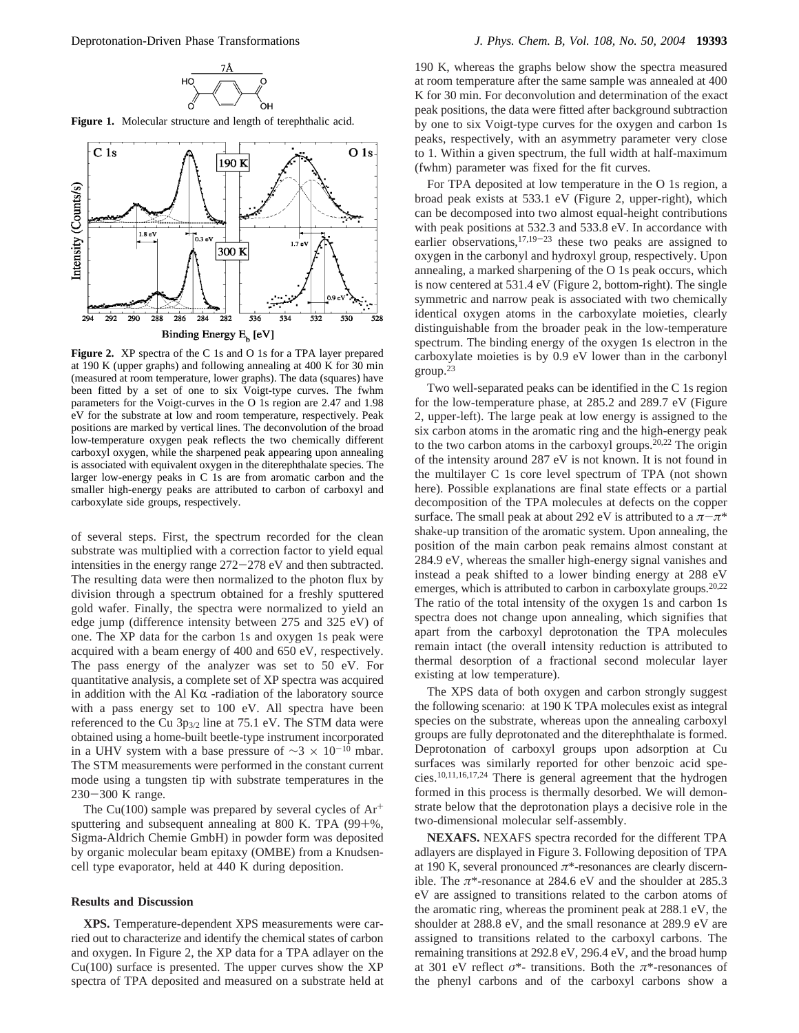**Figure 1.** Molecular structure and length of terephthalic acid.



**Figure 2.** XP spectra of the C 1s and O 1s for a TPA layer prepared at 190 K (upper graphs) and following annealing at 400 K for 30 min (measured at room temperature, lower graphs). The data (squares) have been fitted by a set of one to six Voigt-type curves. The fwhm parameters for the Voigt-curves in the O 1s region are 2.47 and 1.98 eV for the substrate at low and room temperature, respectively. Peak positions are marked by vertical lines. The deconvolution of the broad low-temperature oxygen peak reflects the two chemically different carboxyl oxygen, while the sharpened peak appearing upon annealing is associated with equivalent oxygen in the diterephthalate species. The larger low-energy peaks in C 1s are from aromatic carbon and the smaller high-energy peaks are attributed to carbon of carboxyl and carboxylate side groups, respectively.

of several steps. First, the spectrum recorded for the clean substrate was multiplied with a correction factor to yield equal intensities in the energy range 272-278 eV and then subtracted. The resulting data were then normalized to the photon flux by division through a spectrum obtained for a freshly sputtered gold wafer. Finally, the spectra were normalized to yield an edge jump (difference intensity between 275 and 325 eV) of one. The XP data for the carbon 1s and oxygen 1s peak were acquired with a beam energy of 400 and 650 eV, respectively. The pass energy of the analyzer was set to 50 eV. For quantitative analysis, a complete set of XP spectra was acquired in addition with the Al  $K\alpha$  -radiation of the laboratory source with a pass energy set to 100 eV. All spectra have been referenced to the Cu 3p3/2 line at 75.1 eV. The STM data were obtained using a home-built beetle-type instrument incorporated in a UHV system with a base pressure of  $\sim$ 3 × 10<sup>-10</sup> mbar. The STM measurements were performed in the constant current mode using a tungsten tip with substrate temperatures in the <sup>230</sup>-300 K range.

The Cu(100) sample was prepared by several cycles of  $Ar^+$ sputtering and subsequent annealing at 800 K. TPA (99+%, Sigma-Aldrich Chemie GmbH) in powder form was deposited by organic molecular beam epitaxy (OMBE) from a Knudsencell type evaporator, held at 440 K during deposition.

#### **Results and Discussion**

**XPS.** Temperature-dependent XPS measurements were carried out to characterize and identify the chemical states of carbon and oxygen. In Figure 2, the XP data for a TPA adlayer on the  $Cu(100)$  surface is presented. The upper curves show the  $XP$ spectra of TPA deposited and measured on a substrate held at

190 K, whereas the graphs below show the spectra measured at room temperature after the same sample was annealed at 400 K for 30 min. For deconvolution and determination of the exact peak positions, the data were fitted after background subtraction by one to six Voigt-type curves for the oxygen and carbon 1s peaks, respectively, with an asymmetry parameter very close to 1. Within a given spectrum, the full width at half-maximum (fwhm) parameter was fixed for the fit curves.

For TPA deposited at low temperature in the O 1s region, a broad peak exists at 533.1 eV (Figure 2, upper-right), which can be decomposed into two almost equal-height contributions with peak positions at 532.3 and 533.8 eV. In accordance with earlier observations,  $17,19-23$  these two peaks are assigned to oxygen in the carbonyl and hydroxyl group, respectively. Upon annealing, a marked sharpening of the O 1s peak occurs, which is now centered at 531.4 eV (Figure 2, bottom-right). The single symmetric and narrow peak is associated with two chemically identical oxygen atoms in the carboxylate moieties, clearly distinguishable from the broader peak in the low-temperature spectrum. The binding energy of the oxygen 1s electron in the carboxylate moieties is by 0.9 eV lower than in the carbonyl  $\text{group}^{\,23}$ 

Two well-separated peaks can be identified in the C 1s region for the low-temperature phase, at 285.2 and 289.7 eV (Figure 2, upper-left). The large peak at low energy is assigned to the six carbon atoms in the aromatic ring and the high-energy peak to the two carbon atoms in the carboxyl groups.20,22 The origin of the intensity around 287 eV is not known. It is not found in the multilayer C 1s core level spectrum of TPA (not shown here). Possible explanations are final state effects or a partial decomposition of the TPA molecules at defects on the copper surface. The small peak at about 292 eV is attributed to a  $\pi-\pi^*$ shake-up transition of the aromatic system. Upon annealing, the position of the main carbon peak remains almost constant at 284.9 eV, whereas the smaller high-energy signal vanishes and instead a peak shifted to a lower binding energy at 288 eV emerges, which is attributed to carbon in carboxylate groups.<sup>20,22</sup> The ratio of the total intensity of the oxygen 1s and carbon 1s spectra does not change upon annealing, which signifies that apart from the carboxyl deprotonation the TPA molecules remain intact (the overall intensity reduction is attributed to thermal desorption of a fractional second molecular layer existing at low temperature).

The XPS data of both oxygen and carbon strongly suggest the following scenario: at 190 K TPA molecules exist as integral species on the substrate, whereas upon the annealing carboxyl groups are fully deprotonated and the diterephthalate is formed. Deprotonation of carboxyl groups upon adsorption at Cu surfaces was similarly reported for other benzoic acid species.10,11,16,17,24 There is general agreement that the hydrogen formed in this process is thermally desorbed. We will demonstrate below that the deprotonation plays a decisive role in the two-dimensional molecular self-assembly.

**NEXAFS.** NEXAFS spectra recorded for the different TPA adlayers are displayed in Figure 3. Following deposition of TPA at 190 K, several pronounced *π*\*-resonances are clearly discernible. The  $\pi$ <sup>\*</sup>-resonance at 284.6 eV and the shoulder at 285.3 eV are assigned to transitions related to the carbon atoms of the aromatic ring, whereas the prominent peak at 288.1 eV, the shoulder at 288.8 eV, and the small resonance at 289.9 eV are assigned to transitions related to the carboxyl carbons. The remaining transitions at 292.8 eV, 296.4 eV, and the broad hump at 301 eV reflect *σ*\*- transitions. Both the *π*\*-resonances of the phenyl carbons and of the carboxyl carbons show a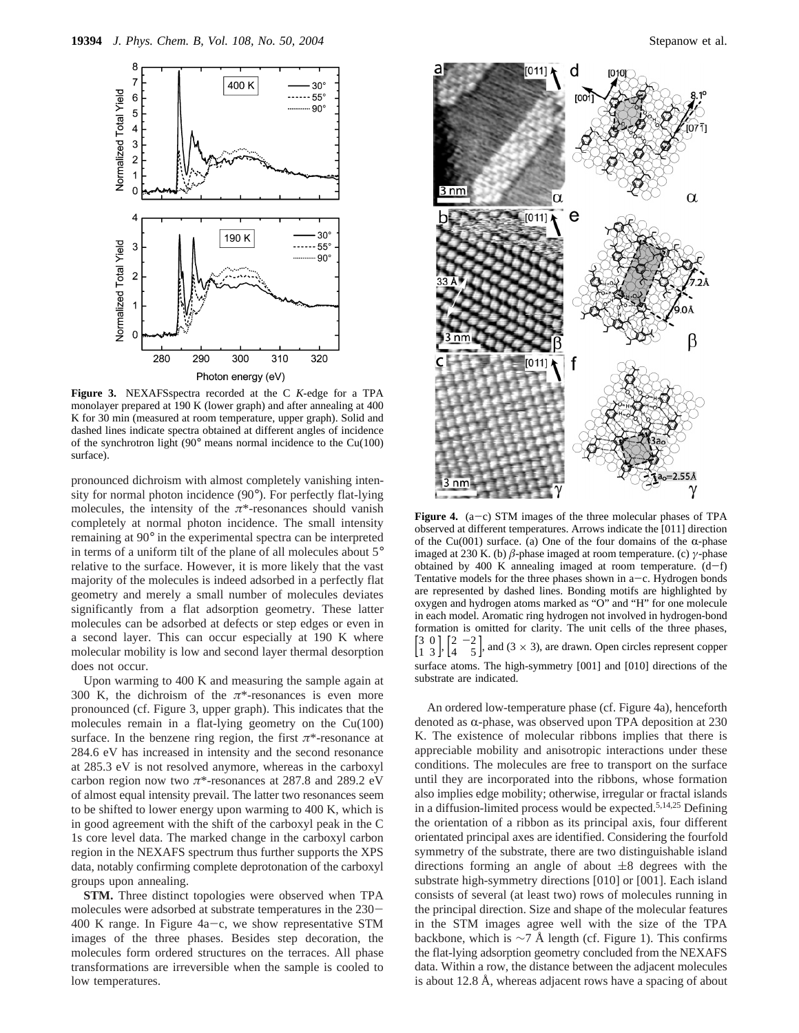

**Figure 3.** NEXAFSspectra recorded at the C *K*-edge for a TPA monolayer prepared at 190 K (lower graph) and after annealing at 400 K for 30 min (measured at room temperature, upper graph). Solid and dashed lines indicate spectra obtained at different angles of incidence of the synchrotron light (90° means normal incidence to the Cu(100) surface).

pronounced dichroism with almost completely vanishing intensity for normal photon incidence (90°). For perfectly flat-lying molecules, the intensity of the  $\pi^*$ -resonances should vanish completely at normal photon incidence. The small intensity remaining at 90° in the experimental spectra can be interpreted in terms of a uniform tilt of the plane of all molecules about 5° relative to the surface. However, it is more likely that the vast majority of the molecules is indeed adsorbed in a perfectly flat geometry and merely a small number of molecules deviates significantly from a flat adsorption geometry. These latter molecules can be adsorbed at defects or step edges or even in a second layer. This can occur especially at 190 K where molecular mobility is low and second layer thermal desorption does not occur.

Upon warming to 400 K and measuring the sample again at 300 K, the dichroism of the *π*\*-resonances is even more pronounced (cf. Figure 3, upper graph). This indicates that the molecules remain in a flat-lying geometry on the Cu(100) surface. In the benzene ring region, the first  $\pi^*$ -resonance at 284.6 eV has increased in intensity and the second resonance at 285.3 eV is not resolved anymore, whereas in the carboxyl carbon region now two *π*\*-resonances at 287.8 and 289.2 eV of almost equal intensity prevail. The latter two resonances seem to be shifted to lower energy upon warming to 400 K, which is in good agreement with the shift of the carboxyl peak in the C 1s core level data. The marked change in the carboxyl carbon region in the NEXAFS spectrum thus further supports the XPS data, notably confirming complete deprotonation of the carboxyl groups upon annealing.

**STM.** Three distinct topologies were observed when TPA molecules were adsorbed at substrate temperatures in the 230- 400 K range. In Figure  $4a-c$ , we show representative STM images of the three phases. Besides step decoration, the molecules form ordered structures on the terraces. All phase transformations are irreversible when the sample is cooled to low temperatures.



**Figure 4.** (a-c) STM images of the three molecular phases of TPA observed at different temperatures. Arrows indicate the [011] direction of the Cu(001) surface. (a) One of the four domains of the  $\alpha$ -phase imaged at 230 K. (b) *â*-phase imaged at room temperature. (c) *γ*-phase obtained by 400 K annealing imaged at room temperature.  $(d-f)$ Tentative models for the three phases shown in  $a-c$ . Hydrogen bonds are represented by dashed lines. Bonding motifs are highlighted by oxygen and hydrogen atoms marked as "O" and "H" for one molecule in each model. Aromatic ring hydrogen not involved in hydrogen-bond formation is omitted for clarity. The unit cells of the three phases,  $\begin{bmatrix} 3 & 0 \\ 1 & 3 \end{bmatrix}$ 3 0  $\lceil 2 - 2 \rceil$  $\begin{bmatrix} -2 \\ 5 \end{bmatrix}$ , and (3 × 3), are drawn. Open circles represent copper surface atoms. The high-symmetry [001] and [010] directions of the substrate are indicated.

An ordered low-temperature phase (cf. Figure 4a), henceforth denoted as  $\alpha$ -phase, was observed upon TPA deposition at 230 K. The existence of molecular ribbons implies that there is appreciable mobility and anisotropic interactions under these conditions. The molecules are free to transport on the surface until they are incorporated into the ribbons, whose formation also implies edge mobility; otherwise, irregular or fractal islands in a diffusion-limited process would be expected.5,14,25 Defining the orientation of a ribbon as its principal axis, four different orientated principal axes are identified. Considering the fourfold symmetry of the substrate, there are two distinguishable island directions forming an angle of about  $\pm 8$  degrees with the substrate high-symmetry directions [010] or [001]. Each island consists of several (at least two) rows of molecules running in the principal direction. Size and shape of the molecular features in the STM images agree well with the size of the TPA backbone, which is  $\sim$ 7 Å length (cf. Figure 1). This confirms the flat-lying adsorption geometry concluded from the NEXAFS data. Within a row, the distance between the adjacent molecules is about 12.8 Å, whereas adjacent rows have a spacing of about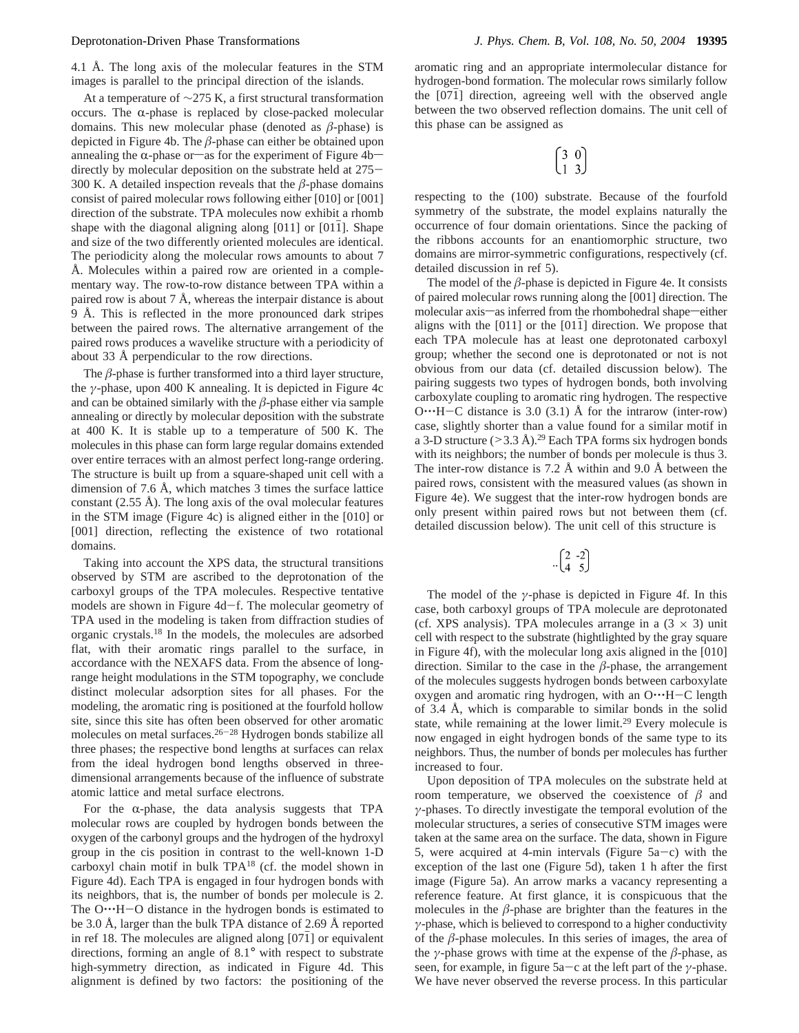4.1 Å. The long axis of the molecular features in the STM images is parallel to the principal direction of the islands.

At a temperature of ∼275 K, a first structural transformation occurs. The  $\alpha$ -phase is replaced by close-packed molecular domains. This new molecular phase (denoted as *â*-phase) is depicted in Figure 4b. The *â*-phase can either be obtained upon annealing the  $\alpha$ -phase or-as for the experiment of Figure 4bdirectly by molecular deposition on the substrate held at 275- 300 K. A detailed inspection reveals that the  $\beta$ -phase domains consist of paired molecular rows following either [010] or [001] direction of the substrate. TPA molecules now exhibit a rhomb shape with the diagonal aligning along  $[011]$  or  $[011]$ . Shape and size of the two differently oriented molecules are identical. The periodicity along the molecular rows amounts to about 7 Å. Molecules within a paired row are oriented in a complementary way. The row-to-row distance between TPA within a paired row is about 7 Å, whereas the interpair distance is about 9 Å. This is reflected in the more pronounced dark stripes between the paired rows. The alternative arrangement of the paired rows produces a wavelike structure with a periodicity of about 33 Å perpendicular to the row directions.

The  $\beta$ -phase is further transformed into a third layer structure, the *γ*-phase, upon 400 K annealing. It is depicted in Figure 4c and can be obtained similarly with the  $\beta$ -phase either via sample annealing or directly by molecular deposition with the substrate at 400 K. It is stable up to a temperature of 500 K. The molecules in this phase can form large regular domains extended over entire terraces with an almost perfect long-range ordering. The structure is built up from a square-shaped unit cell with a dimension of 7.6 Å, which matches 3 times the surface lattice constant  $(2.55 \text{ Å})$ . The long axis of the oval molecular features in the STM image (Figure 4c) is aligned either in the [010] or [001] direction, reflecting the existence of two rotational domains.

Taking into account the XPS data, the structural transitions observed by STM are ascribed to the deprotonation of the carboxyl groups of the TPA molecules. Respective tentative models are shown in Figure 4d-f. The molecular geometry of TPA used in the modeling is taken from diffraction studies of organic crystals.18 In the models, the molecules are adsorbed flat, with their aromatic rings parallel to the surface, in accordance with the NEXAFS data. From the absence of longrange height modulations in the STM topography, we conclude distinct molecular adsorption sites for all phases. For the modeling, the aromatic ring is positioned at the fourfold hollow site, since this site has often been observed for other aromatic molecules on metal surfaces.26-<sup>28</sup> Hydrogen bonds stabilize all three phases; the respective bond lengths at surfaces can relax from the ideal hydrogen bond lengths observed in threedimensional arrangements because of the influence of substrate atomic lattice and metal surface electrons.

For the  $\alpha$ -phase, the data analysis suggests that TPA molecular rows are coupled by hydrogen bonds between the oxygen of the carbonyl groups and the hydrogen of the hydroxyl group in the cis position in contrast to the well-known 1-D carboxyl chain motif in bulk TPA18 (cf. the model shown in Figure 4d). Each TPA is engaged in four hydrogen bonds with its neighbors, that is, the number of bonds per molecule is 2. The O…H-O distance in the hydrogen bonds is estimated to be 3.0 Å, larger than the bulk TPA distance of 2.69 Å reported in ref 18. The molecules are aligned along  $[07\overline{1}]$  or equivalent directions, forming an angle of 8.1° with respect to substrate high-symmetry direction, as indicated in Figure 4d. This alignment is defined by two factors: the positioning of the

aromatic ring and an appropriate intermolecular distance for hydrogen-bond formation. The molecular rows similarly follow the  $[071]$  direction, agreeing well with the observed angle between the two observed reflection domains. The unit cell of this phase can be assigned as

$$
\begin{pmatrix} 3 & 0 \\ 1 & 3 \end{pmatrix}
$$

respecting to the (100) substrate. Because of the fourfold symmetry of the substrate, the model explains naturally the occurrence of four domain orientations. Since the packing of the ribbons accounts for an enantiomorphic structure, two domains are mirror-symmetric configurations, respectively (cf. detailed discussion in ref 5).

The model of the  $\beta$ -phase is depicted in Figure 4e. It consists of paired molecular rows running along the [001] direction. The molecular axis-as inferred from the rhombohedral shape-either aligns with the  $[011]$  or the  $[011]$  direction. We propose that each TPA molecule has at least one deprotonated carboxyl group; whether the second one is deprotonated or not is not obvious from our data (cf. detailed discussion below). The pairing suggests two types of hydrogen bonds, both involving carboxylate coupling to aromatic ring hydrogen. The respective  $O^{\bullet \bullet \bullet}$ H-C distance is 3.0 (3.1) Å for the intrarow (inter-row) case, slightly shorter than a value found for a similar motif in a 3-D structure  $(>3.3 \text{ Å})$ .<sup>29</sup> Each TPA forms six hydrogen bonds with its neighbors; the number of bonds per molecule is thus 3. The inter-row distance is 7.2 Å within and 9.0 Å between the paired rows, consistent with the measured values (as shown in Figure 4e). We suggest that the inter-row hydrogen bonds are only present within paired rows but not between them (cf. detailed discussion below). The unit cell of this structure is

$$
\begin{pmatrix} 2 & -2 \\ 4 & 5 \end{pmatrix}
$$

The model of the *γ*-phase is depicted in Figure 4f. In this case, both carboxyl groups of TPA molecule are deprotonated (cf. XPS analysis). TPA molecules arrange in a  $(3 \times 3)$  unit cell with respect to the substrate (hightlighted by the gray square in Figure 4f), with the molecular long axis aligned in the [010] direction. Similar to the case in the  $\beta$ -phase, the arrangement of the molecules suggests hydrogen bonds between carboxylate oxygen and aromatic ring hydrogen, with an O. H-C length of 3.4 Å, which is comparable to similar bonds in the solid state, while remaining at the lower limit.<sup>29</sup> Every molecule is now engaged in eight hydrogen bonds of the same type to its neighbors. Thus, the number of bonds per molecules has further increased to four.

Upon deposition of TPA molecules on the substrate held at room temperature, we observed the coexistence of  $\beta$  and *γ*-phases. To directly investigate the temporal evolution of the molecular structures, a series of consecutive STM images were taken at the same area on the surface. The data, shown in Figure 5, were acquired at 4-min intervals (Figure  $5a-c$ ) with the exception of the last one (Figure 5d), taken 1 h after the first image (Figure 5a). An arrow marks a vacancy representing a reference feature. At first glance, it is conspicuous that the molecules in the  $\beta$ -phase are brighter than the features in the *γ*-phase, which is believed to correspond to a higher conductivity of the  $\beta$ -phase molecules. In this series of images, the area of the *γ*-phase grows with time at the expense of the *â*-phase, as seen, for example, in figure 5a-c at the left part of the *<sup>γ</sup>*-phase. We have never observed the reverse process. In this particular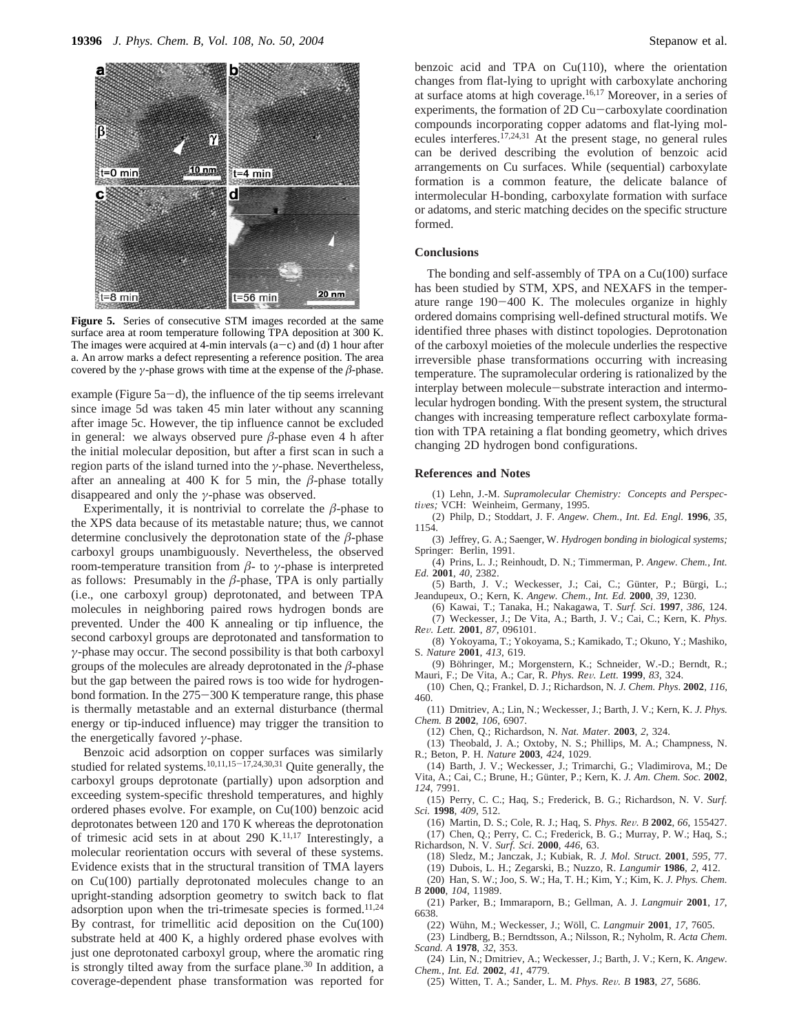

**Figure 5.** Series of consecutive STM images recorded at the same surface area at room temperature following TPA deposition at 300 K. The images were acquired at 4-min intervals  $(a-c)$  and (d) 1 hour after a. An arrow marks a defect representing a reference position. The area covered by the *γ*-phase grows with time at the expense of the  $\beta$ -phase.

example (Figure  $5a-d$ ), the influence of the tip seems irrelevant since image 5d was taken 45 min later without any scanning after image 5c. However, the tip influence cannot be excluded in general: we always observed pure  $\beta$ -phase even 4 h after the initial molecular deposition, but after a first scan in such a region parts of the island turned into the *γ*-phase. Nevertheless, after an annealing at 400 K for 5 min, the  $\beta$ -phase totally disappeared and only the *γ*-phase was observed.

Experimentally, it is nontrivial to correlate the  $\beta$ -phase to the XPS data because of its metastable nature; thus, we cannot determine conclusively the deprotonation state of the  $\beta$ -phase carboxyl groups unambiguously. Nevertheless, the observed room-temperature transition from *â*- to *γ*-phase is interpreted as follows: Presumably in the  $\beta$ -phase, TPA is only partially (i.e., one carboxyl group) deprotonated, and between TPA molecules in neighboring paired rows hydrogen bonds are prevented. Under the 400 K annealing or tip influence, the second carboxyl groups are deprotonated and tansformation to *γ*-phase may occur. The second possibility is that both carboxyl groups of the molecules are already deprotonated in the *â*-phase but the gap between the paired rows is too wide for hydrogenbond formation. In the 275-300 K temperature range, this phase is thermally metastable and an external disturbance (thermal energy or tip-induced influence) may trigger the transition to the energetically favored *γ*-phase.

Benzoic acid adsorption on copper surfaces was similarly studied for related systems.<sup>10,11,15-17,24,30,31</sup> Quite generally, the carboxyl groups deprotonate (partially) upon adsorption and exceeding system-specific threshold temperatures, and highly ordered phases evolve. For example, on Cu(100) benzoic acid deprotonates between 120 and 170 K whereas the deprotonation of trimesic acid sets in at about 290 K.<sup>11,17</sup> Interestingly, a molecular reorientation occurs with several of these systems. Evidence exists that in the structural transition of TMA layers on Cu(100) partially deprotonated molecules change to an upright-standing adsorption geometry to switch back to flat adsorption upon when the tri-trimesate species is formed.<sup>11,24</sup> By contrast, for trimellitic acid deposition on the Cu(100) substrate held at 400 K, a highly ordered phase evolves with just one deprotonated carboxyl group, where the aromatic ring is strongly tilted away from the surface plane.<sup>30</sup> In addition, a coverage-dependent phase transformation was reported for

benzoic acid and TPA on  $Cu(110)$ , where the orientation changes from flat-lying to upright with carboxylate anchoring at surface atoms at high coverage.16,17 Moreover, in a series of experiments, the formation of 2D Cu-carboxylate coordination compounds incorporating copper adatoms and flat-lying molecules interferes.17,24,31 At the present stage, no general rules can be derived describing the evolution of benzoic acid arrangements on Cu surfaces. While (sequential) carboxylate formation is a common feature, the delicate balance of intermolecular H-bonding, carboxylate formation with surface or adatoms, and steric matching decides on the specific structure formed.

## **Conclusions**

The bonding and self-assembly of TPA on a Cu(100) surface has been studied by STM, XPS, and NEXAFS in the temperature range 190-400 K. The molecules organize in highly ordered domains comprising well-defined structural motifs. We identified three phases with distinct topologies. Deprotonation of the carboxyl moieties of the molecule underlies the respective irreversible phase transformations occurring with increasing temperature. The supramolecular ordering is rationalized by the interplay between molecule-substrate interaction and intermolecular hydrogen bonding. With the present system, the structural changes with increasing temperature reflect carboxylate formation with TPA retaining a flat bonding geometry, which drives changing 2D hydrogen bond configurations.

# **References and Notes**

(1) Lehn, J.-M. *Supramolecular Chemistry: Concepts and Perspec*tives; VCH: Weinheim, Germany, 1995.

(2) Philp, D.; Stoddart, J. F. *Angew. Chem., Int. Ed. Engl.* **1996**, *35*, 1154.

- (3) Jeffrey, G. A.; Saenger, W. *Hydrogen bonding in biological systems;* Springer: Berlin, 1991.
- (4) Prins, L. J.; Reinhoudt, D. N.; Timmerman, P. *Angew. Chem., Int. Ed.* **2001**, *40*, 2382.
- (5) Barth, J. V.; Weckesser, J.; Cai, C.; Günter, P.; Bürgi, L.; Jeandupeux, O.; Kern, K. *Angew. Chem., Int. Ed.* **2000**, *39*, 1230.

(6) Kawai, T.; Tanaka, H.; Nakagawa, T. *Surf. Sci*. **1997**, *386*, 124. (7) Weckesser, J.; De Vita, A.; Barth, J. V.; Cai, C.; Kern, K. *Phys. Re*V*. Lett.* **<sup>2001</sup>**, *<sup>87</sup>*, 096101.

- (8) Yokoyama, T.; Yokoyama, S.; Kamikado, T.; Okuno, Y.; Mashiko, S. *Nature* **2001**, *413*, 619.
- (9) Böhringer, M.; Morgenstern, K.; Schneider, W.-D.; Berndt, R.; Mauri, F.; De Vita, A.; Car, R. *Phys. Re*V*. Lett*. **<sup>1999</sup>**, *<sup>83</sup>*, 324.
- (10) Chen, Q.; Frankel, D. J.; Richardson, N. *J. Chem. Phys*. **2002**, *116*, 460.
- (11) Dmitriev, A.; Lin, N.; Weckesser, J.; Barth, J. V.; Kern, K. *J. Phys. Chem. B* **2002**, *106*, 6907.
	- (12) Chen, Q.; Richardson, N. *Nat. Mater.* **2003**, *2*, 324.
- (13) Theobald, J. A.; Oxtoby, N. S.; Phillips, M. A.; Champness, N. R.; Beton, P. H. *Nature* **2003**, *424*, 1029.
- (14) Barth, J. V.; Weckesser, J.; Trimarchi, G.; Vladimirova, M.; De Vita, A.; Cai, C.; Brune, H.; Günter, P.; Kern, K. *J. Am. Chem. Soc.* 2002,
- *124*, 7991. (15) Perry, C. C.; Haq, S.; Frederick, B. G.; Richardson, N. V. *Surf.*

*Sci.* **1998**, *409*, 512.

(16) Martin, D. S.; Cole, R. J.; Haq, S. *Phys. Re*V*. B* **<sup>2002</sup>**, *<sup>66</sup>*, 155427.

(17) Chen, Q.; Perry, C. C.; Frederick, B. G.; Murray, P. W.; Haq, S.; Richardson, N. V. *Surf. Sci*. **2000**, *446*, 63.

- (18) Sledz, M.; Janczak, J.; Kubiak, R. *J. Mol. Struct.* **2001**, *595*, 77.
- (19) Dubois, L. H.; Zegarski, B.; Nuzzo, R. *Langumir* **1986**, *2*, 412.

(20) Han, S. W.; Joo, S. W.; Ha, T. H.; Kim, Y.; Kim, K. *J. Phys. Chem. B* **2000**, *104*, 11989.

(21) Parker, B.; Immaraporn, B.; Gellman, A. J. *Langmuir* **2001**, *17*, 6638.

(22) Wühn, M.; Weckesser, J.; Wöll, C. *Langmuir* 2001, 17, 7605.

(23) Lindberg, B.; Berndtsson, A.; Nilsson, R.; Nyholm, R. *Acta Chem.*

*Scand. A* **1978**, *32*, 353. (24) Lin, N.; Dmitriev, A.; Weckesser, J.; Barth, J. V.; Kern, K. *Angew.*

*Chem., Int. Ed.* **2002**, *41*, 4779.

(25) Witten, T. A.; Sander, L. M. *Phys. Re*V*. B* **<sup>1983</sup>**, *<sup>27</sup>*, 5686.